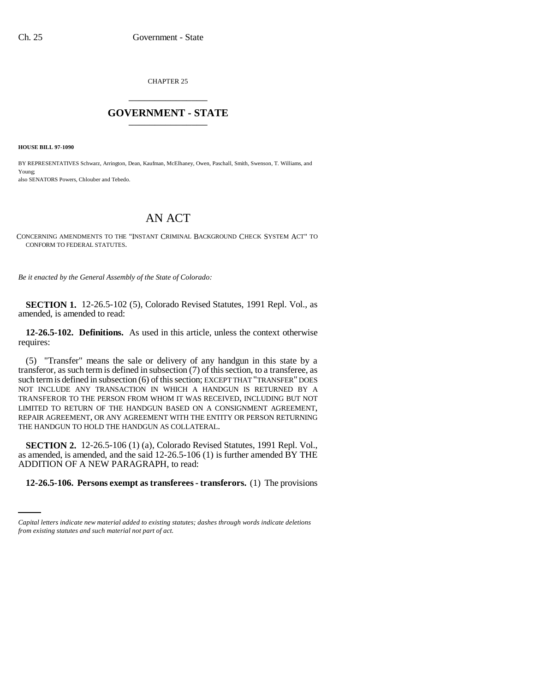CHAPTER 25 \_\_\_\_\_\_\_\_\_\_\_\_\_\_\_

## **GOVERNMENT - STATE** \_\_\_\_\_\_\_\_\_\_\_\_\_\_\_

**HOUSE BILL 97-1090**

BY REPRESENTATIVES Schwarz, Arrington, Dean, Kaufman, McElhaney, Owen, Paschall, Smith, Swenson, T. Williams, and Young; also SENATORS Powers, Chlouber and Tebedo.

## AN ACT

CONCERNING AMENDMENTS TO THE "INSTANT CRIMINAL BACKGROUND CHECK SYSTEM ACT" TO CONFORM TO FEDERAL STATUTES.

*Be it enacted by the General Assembly of the State of Colorado:*

**SECTION 1.** 12-26.5-102 (5), Colorado Revised Statutes, 1991 Repl. Vol., as amended, is amended to read:

**12-26.5-102. Definitions.** As used in this article, unless the context otherwise requires:

(5) "Transfer" means the sale or delivery of any handgun in this state by a transferor, as such term is defined in subsection (7) of this section, to a transferee, as such term is defined in subsection (6) of this section; EXCEPT THAT "TRANSFER" DOES NOT INCLUDE ANY TRANSACTION IN WHICH A HANDGUN IS RETURNED BY A TRANSFEROR TO THE PERSON FROM WHOM IT WAS RECEIVED, INCLUDING BUT NOT LIMITED TO RETURN OF THE HANDGUN BASED ON A CONSIGNMENT AGREEMENT, REPAIR AGREEMENT, OR ANY AGREEMENT WITH THE ENTITY OR PERSON RETURNING THE HANDGUN TO HOLD THE HANDGUN AS COLLATERAL.

ADDITION OF A NEW PARAGRAPH, to read: **SECTION 2.** 12-26.5-106 (1) (a), Colorado Revised Statutes, 1991 Repl. Vol., as amended, is amended, and the said 12-26.5-106 (1) is further amended BY THE

**12-26.5-106. Persons exempt as transferees - transferors.** (1) The provisions

*Capital letters indicate new material added to existing statutes; dashes through words indicate deletions from existing statutes and such material not part of act.*